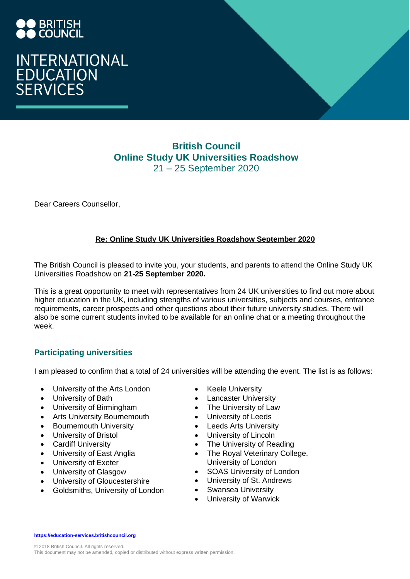# INTERNATIONAL<br>EDUCATION<br>SERVICES

# **British Council Online Study UK Universities Roadshow** 21 – 25 September 2020

Dear Careers Counsellor,

# **Re: Online Study UK Universities Roadshow September 2020**

The British Council is pleased to invite you, your students, and parents to attend the Online Study UK Universities Roadshow on **21-25 September 2020.** 

This is a great opportunity to meet with representatives from 24 UK universities to find out more about higher education in the UK, including strengths of various universities, subjects and courses, entrance requirements, career prospects and other questions about their future university studies. There will also be some current students invited to be available for an online chat or a meeting throughout the week.

# **Participating universities**

I am pleased to confirm that a total of 24 universities will be attending the event. The list is as follows:

- University of the Arts London
- University of Bath
- University of Birmingham
- Arts University Bournemouth
- Bournemouth University
- University of Bristol
- Cardiff University
- University of East Anglia
- University of Exeter
- University of Glasgow
- University of Gloucestershire
- Goldsmiths, University of London
- **Keele University**
- Lancaster University
- The University of Law
- University of Leeds
- Leeds Arts University
- University of Lincoln
- The University of Reading
- The Royal Veterinary College, University of London
- SOAS University of London
- University of St. Andrews
- Swansea University
- University of Warwick

**[https://education-services.britishcouncil.org](https://education-services.britishcouncil.org/)**

© 2018 British Council. All rights reserved. This document may not be amended, copied or distributed without express written permission.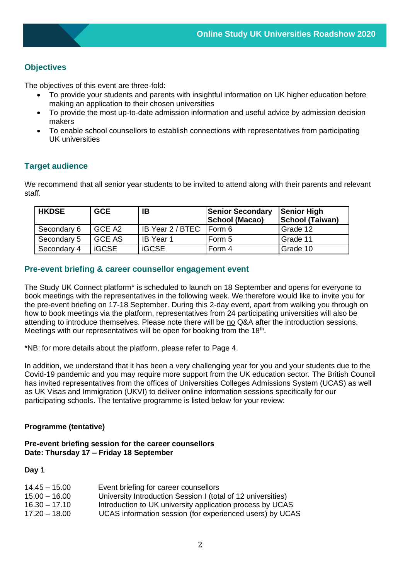# **Objectives**

The objectives of this event are three-fold:

- To provide your students and parents with insightful information on UK higher education before making an application to their chosen universities
- To provide the most up-to-date admission information and useful advice by admission decision makers
- To enable school counsellors to establish connections with representatives from participating UK universities

# **Target audience**

We recommend that all senior year students to be invited to attend along with their parents and relevant staff.

| <b>HKDSE</b> | <b>GCE</b>    | IΒ               | <b>Senior Secondary</b><br><b>School (Macao)</b> | <b>Senior High</b><br><b>School (Taiwan)</b> |
|--------------|---------------|------------------|--------------------------------------------------|----------------------------------------------|
| Secondary 6  | GCE A2        | IB Year 2 / BTEC | l Form 6                                         | Grade 12                                     |
| Secondary 5  | <b>GCE AS</b> | <b>IB</b> Year 1 | Form 5                                           | Grade 11                                     |
| Secondary 4  | <b>iGCSE</b>  | <b>iGCSE</b>     | Form 4                                           | Grade 10                                     |

# **Pre-event briefing & career counsellor engagement event**

The Study UK Connect platform\* is scheduled to launch on 18 September and opens for everyone to book meetings with the representatives in the following week. We therefore would like to invite you for the pre-event briefing on 17-18 September. During this 2-day event, apart from walking you through on how to book meetings via the platform, representatives from 24 participating universities will also be attending to introduce themselves. Please note there will be no Q&A after the introduction sessions. Meetings with our representatives will be open for booking from the  $18<sup>th</sup>$ .

\*NB: for more details about the platform, please refer to Page 4.

In addition, we understand that it has been a very challenging year for you and your students due to the Covid-19 pandemic and you may require more support from the UK education sector. The British Council has invited representatives from the offices of Universities Colleges Admissions System (UCAS) as well as UK Visas and Immigration (UKVI) to deliver online information sessions specifically for our participating schools. The tentative programme is listed below for your review:

# **Programme (tentative)**

## **Pre-event briefing session for the career counsellors Date: Thursday 17 – Friday 18 September**

### **Day 1**

| $14.45 - 15.00$ | Event briefing for career counsellors                        |
|-----------------|--------------------------------------------------------------|
| $15.00 - 16.00$ | University Introduction Session I (total of 12 universities) |
| $16.30 - 17.10$ | Introduction to UK university application process by UCAS    |
| $17.20 - 18.00$ | UCAS information session (for experienced users) by UCAS     |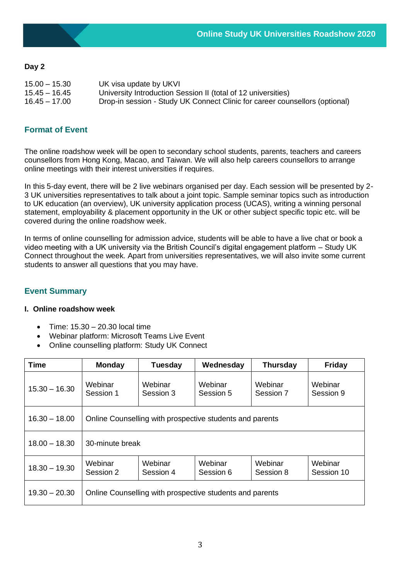# **Day 2**

| $15.00 - 15.30$ | UK visa update by UKVI                                                      |
|-----------------|-----------------------------------------------------------------------------|
| 15.45 – 16.45   | University Introduction Session II (total of 12 universities)               |
| $16.45 - 17.00$ | Drop-in session - Study UK Connect Clinic for career counsellors (optional) |

# **Format of Event**

The online roadshow week will be open to secondary school students, parents, teachers and careers counsellors from Hong Kong, Macao, and Taiwan. We will also help careers counsellors to arrange online meetings with their interest universities if requires.

In this 5-day event, there will be 2 live webinars organised per day. Each session will be presented by 2- 3 UK universities representatives to talk about a joint topic. Sample seminar topics such as introduction to UK education (an overview), UK university application process (UCAS), writing a winning personal statement, employability & placement opportunity in the UK or other subject specific topic etc. will be covered during the online roadshow week.

In terms of online counselling for admission advice, students will be able to have a live chat or book a video meeting with a UK university via the British Council's digital engagement platform – Study UK Connect throughout the week. Apart from universities representatives, we will also invite some current students to answer all questions that you may have.

# **Event Summary**

### **I. Online roadshow week**

- Time: 15.30 20.30 local time
- Webinar platform: Microsoft Teams Live Event
- Online counselling platform: Study UK Connect

| <b>Time</b>     | <b>Monday</b>                                            | <b>Tuesday</b>       | Wednesday            | <b>Thursday</b>      | <b>Friday</b>         |  |  |
|-----------------|----------------------------------------------------------|----------------------|----------------------|----------------------|-----------------------|--|--|
| $15.30 - 16.30$ | Webinar<br>Session 1                                     | Webinar<br>Session 3 | Webinar<br>Session 5 | Webinar<br>Session 7 | Webinar<br>Session 9  |  |  |
| $16.30 - 18.00$ | Online Counselling with prospective students and parents |                      |                      |                      |                       |  |  |
| $18.00 - 18.30$ | 30-minute break                                          |                      |                      |                      |                       |  |  |
| $18.30 - 19.30$ | Webinar<br>Session 2                                     | Webinar<br>Session 4 | Webinar<br>Session 6 | Webinar<br>Session 8 | Webinar<br>Session 10 |  |  |
| $19.30 - 20.30$ | Online Counselling with prospective students and parents |                      |                      |                      |                       |  |  |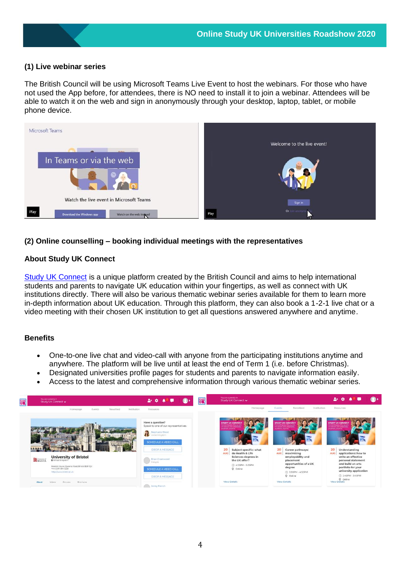# **(1) Live webinar series**

The British Council will be using Microsoft Teams Live Event to host the webinars. For those who have not used the App before, for attendees, there is NO need to install it to join a webinar. Attendees will be able to watch it on the web and sign in anonymously through your desktop, laptop, tablet, or mobile phone device.



# **(2) Online counselling – booking individual meetings with the representatives**

## **About Study UK Connect**

[Study UK Connect](https://www.britishcouncil.hk/en/study-uk-connect) is a unique platform created by the British Council and aims to help international students and parents to navigate UK education within your fingertips, as well as connect with UK institutions directly. There will also be various thematic webinar series available for them to learn more in-depth information about UK education. Through this platform, they can also book a 1-2-1 live chat or a video meeting with their chosen UK institution to get all questions answered anywhere and anytime.

### **Benefits**

- One-to-one live chat and video-call with anyone from the participating institutions anytime and anywhere. The platform will be live until at least the end of Term 1 (i.e. before Christmas).
- Designated universities profile pages for students and parents to navigate information easily.
- Access to the latest and comprehensive information through various thematic webinar series.